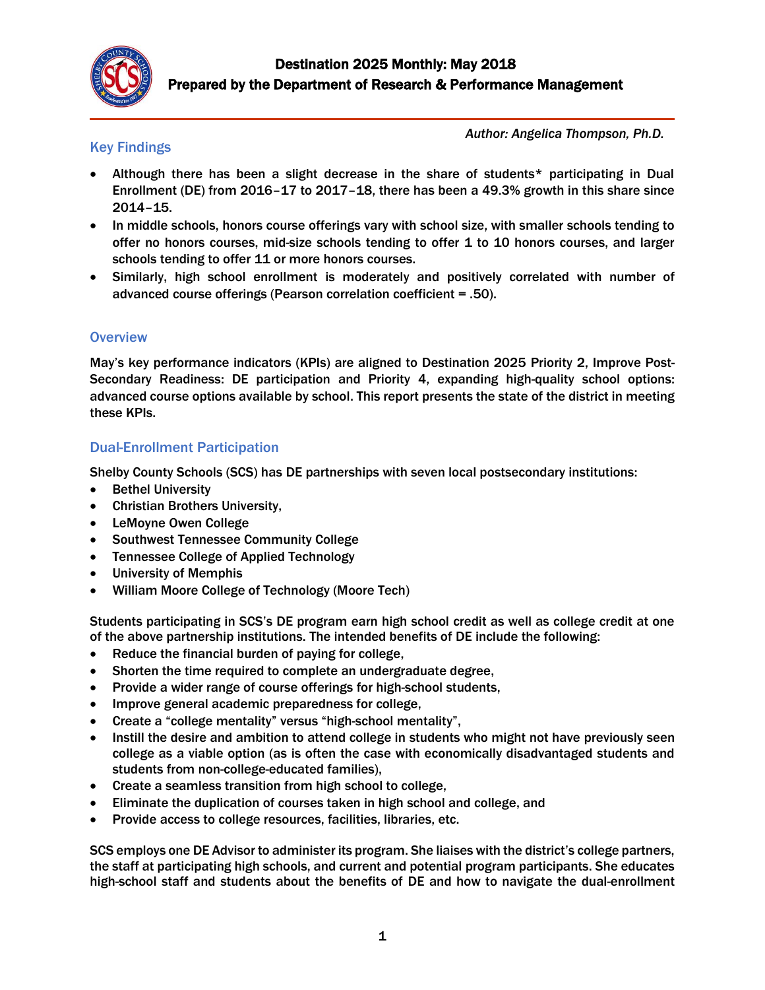

#### *Author: Angelica Thompson, Ph.D.*

### Key Findings

- Although there has been a slight decrease in the share of students\* participating in Dual Enrollment (DE) from 2016–17 to 2017–18, there has been a 49.3% growth in this share since 2014–15.
- In middle schools, honors course offerings vary with school size, with smaller schools tending to offer no honors courses, mid-size schools tending to offer 1 to 10 honors courses, and larger schools tending to offer 11 or more honors courses.
- Similarly, high school enrollment is moderately and positively correlated with number of advanced course offerings (Pearson correlation coefficient = .50).

#### **Overview**

May's key performance indicators (KPIs) are aligned to Destination 2025 Priority 2, Improve Post-Secondary Readiness: DE participation and Priority 4, expanding high-quality school options: advanced course options available by school. This report presents the state of the district in meeting these KPIs.

## Dual-Enrollment Participation

Shelby County Schools (SCS) has DE partnerships with seven local postsecondary institutions:

- Bethel University
- Christian Brothers University,
- LeMoyne Owen College
- Southwest Tennessee Community College
- Tennessee College of Applied Technology
- University of Memphis
- William Moore College of Technology (Moore Tech)

Students participating in SCS's DE program earn high school credit as well as college credit at one of the above partnership institutions. The intended benefits of DE include the following:

- Reduce the financial burden of paying for college,
- Shorten the time required to complete an undergraduate degree,
- Provide a wider range of course offerings for high-school students,
- Improve general academic preparedness for college,
- Create a "college mentality" versus "high-school mentality",
- Instill the desire and ambition to attend college in students who might not have previously seen college as a viable option (as is often the case with economically disadvantaged students and students from non-college-educated families),
- Create a seamless transition from high school to college,
- Eliminate the duplication of courses taken in high school and college, and
- Provide access to college resources, facilities, libraries, etc.

SCS employs one DE Advisor to administer its program. She liaises with the district's college partners, the staff at participating high schools, and current and potential program participants. She educates high-school staff and students about the benefits of DE and how to navigate the dual-enrollment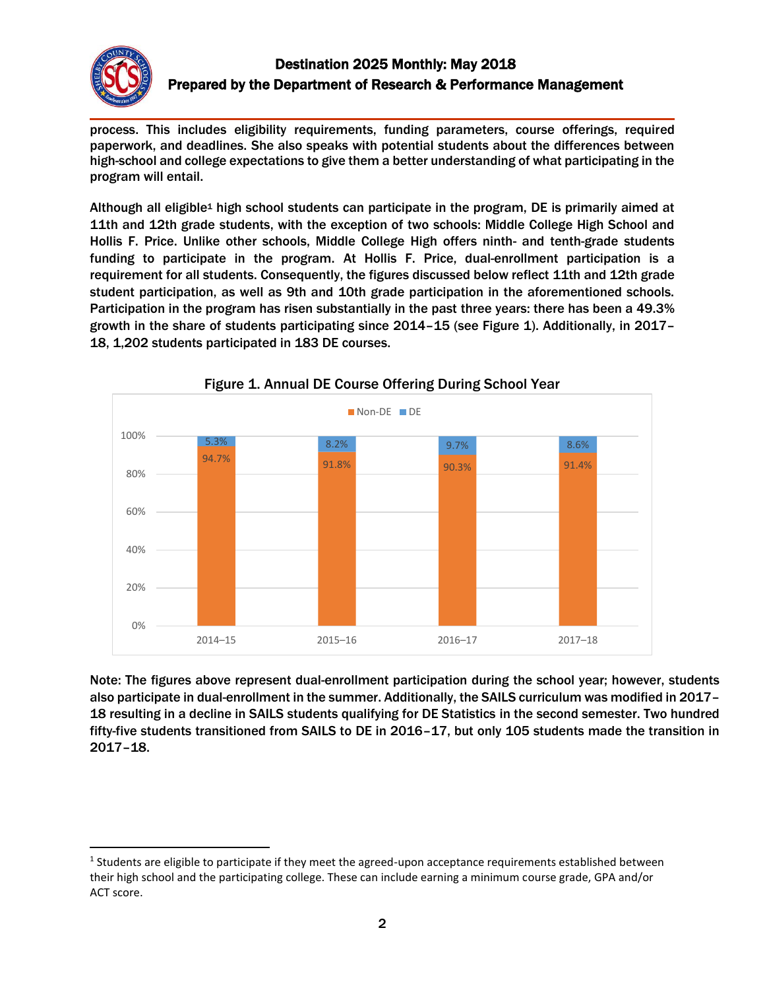

 $\overline{\phantom{a}}$ 

# Destination 2025 Monthly: May 2018 Prepared by the Department of Research & Performance Management

process. This includes eligibility requirements, funding parameters, course offerings, required paperwork, and deadlines. She also speaks with potential students about the differences between high-school and college expectations to give them a better understanding of what participating in the program will entail.

Although all eligible<sup>1</sup> high school students can participate in the program, DE is primarily aimed at 11th and 12th grade students, with the exception of two schools: Middle College High School and Hollis F. Price. Unlike other schools, Middle College High offers ninth- and tenth-grade students funding to participate in the program. At Hollis F. Price, dual-enrollment participation is a requirement for all students. Consequently, the figures discussed below reflect 11th and 12th grade student participation, as well as 9th and 10th grade participation in the aforementioned schools. Participation in the program has risen substantially in the past three years: there has been a 49.3% growth in the share of students participating since 2014–15 (see Figure 1). Additionally, in 2017– 18, 1,202 students participated in 183 DE courses.





Note: The figures above represent dual-enrollment participation during the school year; however, students also participate in dual-enrollment in the summer. Additionally, the SAILS curriculum was modified in 2017– 18 resulting in a decline in SAILS students qualifying for DE Statistics in the second semester. Two hundred fifty-five students transitioned from SAILS to DE in 2016–17, but only 105 students made the transition in 2017–18.

<sup>&</sup>lt;sup>1</sup> Students are eligible to participate if they meet the agreed-upon acceptance requirements established between their high school and the participating college. These can include earning a minimum course grade, GPA and/or ACT score.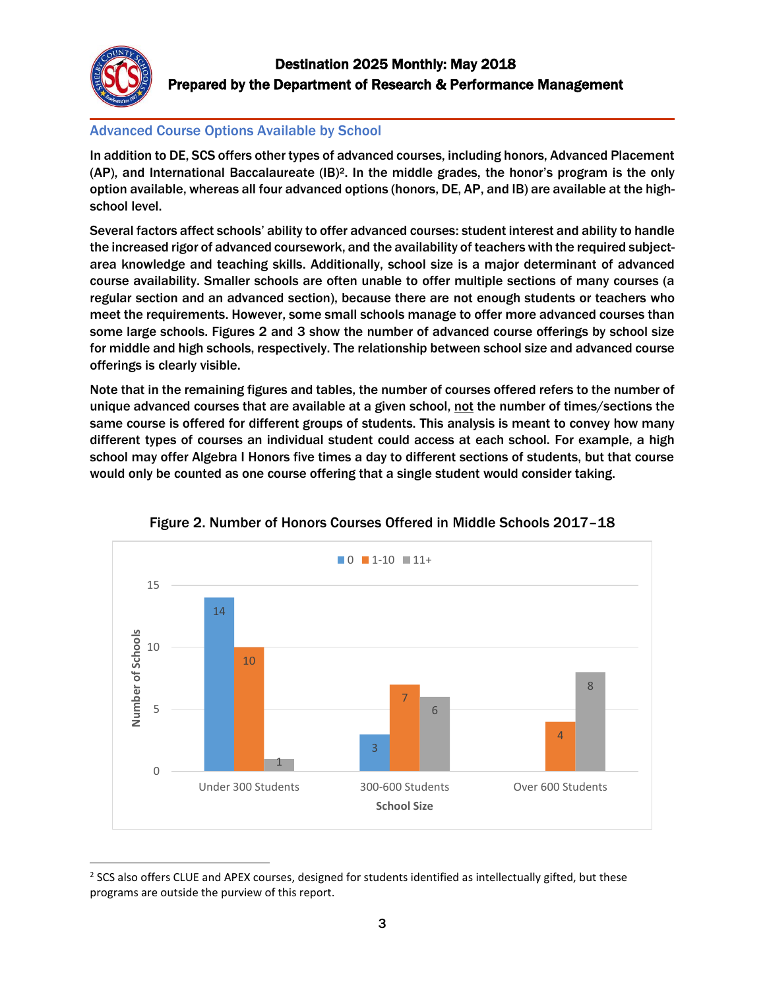

l

### Advanced Course Options Available by School

In addition to DE, SCS offers other types of advanced courses, including honors, Advanced Placement (AP), and International Baccalaureate (IB)2. In the middle grades, the honor's program is the only option available, whereas all four advanced options (honors, DE, AP, and IB) are available at the highschool level.

Several factors affect schools' ability to offer advanced courses: student interest and ability to handle the increased rigor of advanced coursework, and the availability of teachers with the required subjectarea knowledge and teaching skills. Additionally, school size is a major determinant of advanced course availability. Smaller schools are often unable to offer multiple sections of many courses (a regular section and an advanced section), because there are not enough students or teachers who meet the requirements. However, some small schools manage to offer more advanced courses than some large schools. Figures 2 and 3 show the number of advanced course offerings by school size for middle and high schools, respectively. The relationship between school size and advanced course offerings is clearly visible.

Note that in the remaining figures and tables, the number of courses offered refers to the number of unique advanced courses that are available at a given school, not the number of times/sections the same course is offered for different groups of students. This analysis is meant to convey how many different types of courses an individual student could access at each school. For example, a high school may offer Algebra I Honors five times a day to different sections of students, but that course would only be counted as one course offering that a single student would consider taking.



Figure 2. Number of Honors Courses Offered in Middle Schools 2017–18

 $2$  SCS also offers CLUE and APEX courses, designed for students identified as intellectually gifted, but these programs are outside the purview of this report.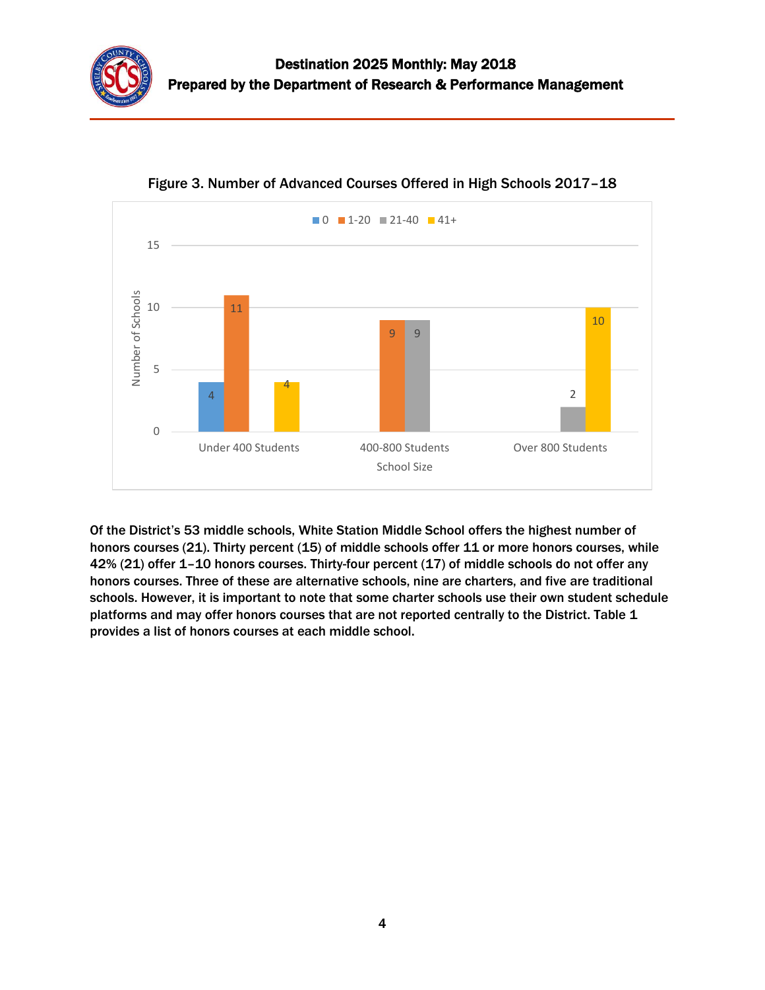



Figure 3. Number of Advanced Courses Offered in High Schools 2017–18

Of the District's 53 middle schools, White Station Middle School offers the highest number of honors courses (21). Thirty percent (15) of middle schools offer 11 or more honors courses, while 42% (21) offer 1–10 honors courses. Thirty-four percent (17) of middle schools do not offer any honors courses. Three of these are alternative schools, nine are charters, and five are traditional schools. However, it is important to note that some charter schools use their own student schedule platforms and may offer honors courses that are not reported centrally to the District. Table 1 provides a list of honors courses at each middle school.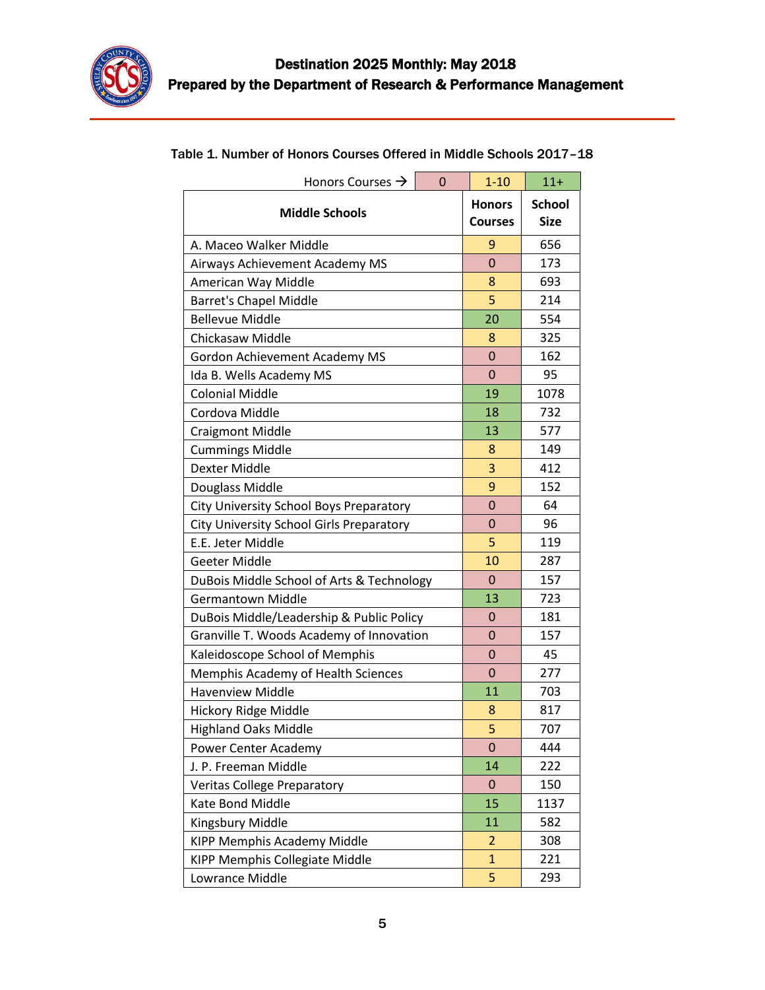

| Honors Courses $\rightarrow$<br>$\Omega$  | $1 - 10$                        | $11 +$                       |  |  |
|-------------------------------------------|---------------------------------|------------------------------|--|--|
| <b>Middle Schools</b>                     | <b>Honors</b><br><b>Courses</b> | <b>School</b><br><b>Size</b> |  |  |
| A. Maceo Walker Middle                    | 9                               | 656                          |  |  |
| Airways Achievement Academy MS            | $\overline{0}$                  | 173                          |  |  |
| American Way Middle                       | 8                               | 693                          |  |  |
| <b>Barret's Chapel Middle</b>             | 5                               | 214                          |  |  |
| <b>Bellevue Middle</b>                    | 20                              | 554                          |  |  |
| Chickasaw Middle                          | 8                               | 325                          |  |  |
| Gordon Achievement Academy MS             | $\mathbf 0$                     | 162                          |  |  |
| Ida B. Wells Academy MS                   | $\mathbf 0$                     | 95                           |  |  |
| <b>Colonial Middle</b>                    | 19                              | 1078                         |  |  |
| Cordova Middle                            | 18                              | 732                          |  |  |
| <b>Craigmont Middle</b>                   | 13                              | 577                          |  |  |
| <b>Cummings Middle</b>                    | 8                               | 149                          |  |  |
| <b>Dexter Middle</b>                      | 3                               | 412                          |  |  |
| Douglass Middle                           | 9                               | 152                          |  |  |
| City University School Boys Preparatory   | $\overline{0}$                  | 64                           |  |  |
| City University School Girls Preparatory  | 0                               | 96                           |  |  |
| E.E. Jeter Middle                         | 5                               | 119                          |  |  |
| Geeter Middle                             | 10                              | 287                          |  |  |
| DuBois Middle School of Arts & Technology | $\Omega$                        | 157                          |  |  |
| <b>Germantown Middle</b>                  | 13                              | 723                          |  |  |
| DuBois Middle/Leadership & Public Policy  | $\mathbf 0$                     | 181                          |  |  |
| Granville T. Woods Academy of Innovation  | 0                               | 157                          |  |  |
| Kaleidoscope School of Memphis            | 0                               | 45                           |  |  |
| Memphis Academy of Health Sciences        | 0                               | 277                          |  |  |
| <b>Havenview Middle</b>                   | 11                              | 703                          |  |  |
| Hickory Ridge Middle                      | 8                               | 817                          |  |  |
| <b>Highland Oaks Middle</b>               | 5                               | 707                          |  |  |
| Power Center Academy                      | 0                               | 444                          |  |  |
| J. P. Freeman Middle                      | 14                              | 222                          |  |  |
| <b>Veritas College Preparatory</b>        | 0                               | 150                          |  |  |
| Kate Bond Middle                          | 15                              | 1137                         |  |  |
| Kingsbury Middle                          | 11                              | 582                          |  |  |
| KIPP Memphis Academy Middle               | $\overline{2}$                  | 308                          |  |  |
| KIPP Memphis Collegiate Middle            | $\mathbf{1}$                    | 221                          |  |  |
| Lowrance Middle                           | 5                               | 293                          |  |  |

# Table 1. Number of Honors Courses Offered in Middle Schools 2017–18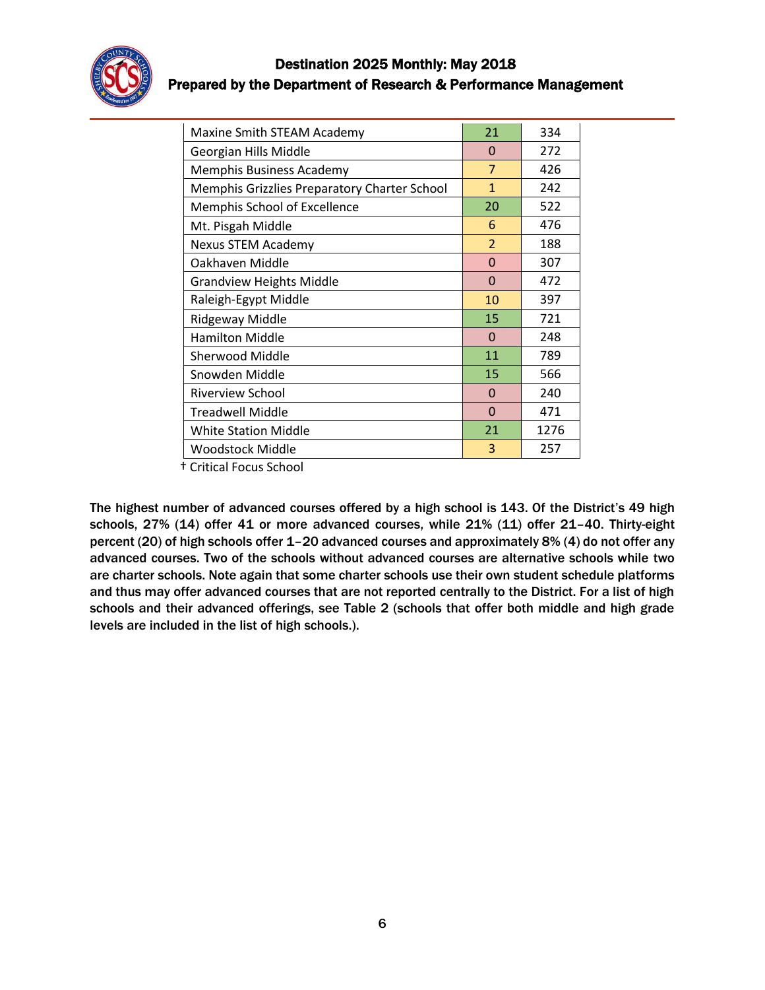

| Maxine Smith STEAM Academy                   | 21             | 334  |
|----------------------------------------------|----------------|------|
| Georgian Hills Middle                        | $\Omega$       | 272  |
| Memphis Business Academy                     | $\overline{7}$ | 426  |
| Memphis Grizzlies Preparatory Charter School | $\mathbf{1}$   | 242  |
| Memphis School of Excellence                 | 20             | 522  |
| Mt. Pisgah Middle                            | 6              | 476  |
| Nexus STEM Academy                           | $\overline{2}$ | 188  |
| Oakhaven Middle                              | $\Omega$       | 307  |
| <b>Grandview Heights Middle</b>              | $\Omega$       | 472  |
| Raleigh-Egypt Middle                         | 10             | 397  |
| Ridgeway Middle                              | 15             | 721  |
| <b>Hamilton Middle</b>                       | $\Omega$       | 248  |
| Sherwood Middle                              | 11             | 789  |
| Snowden Middle                               | 15             | 566  |
| <b>Riverview School</b>                      | $\Omega$       | 240  |
| <b>Treadwell Middle</b>                      | $\Omega$       | 471  |
| <b>White Station Middle</b>                  | 21             | 1276 |
| Woodstock Middle                             | 3              | 257  |

† Critical Focus School

The highest number of advanced courses offered by a high school is 143. Of the District's 49 high schools, 27% (14) offer 41 or more advanced courses, while 21% (11) offer 21–40. Thirty-eight percent (20) of high schools offer 1–20 advanced courses and approximately 8% (4) do not offer any advanced courses. Two of the schools without advanced courses are alternative schools while two are charter schools. Note again that some charter schools use their own student schedule platforms and thus may offer advanced courses that are not reported centrally to the District. For a list of high schools and their advanced offerings, see Table 2 (schools that offer both middle and high grade levels are included in the list of high schools.).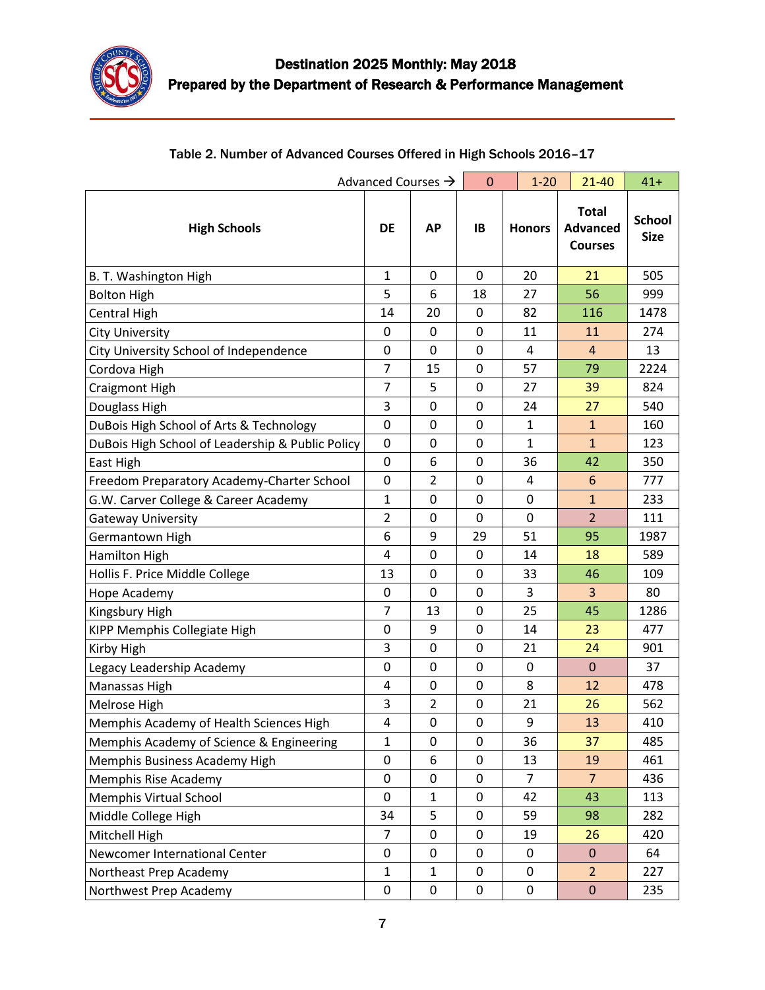

| Advanced Courses →                               |                | $\mathbf{0}$     | $1 - 20$ | $21 - 40$     | $41+$                                             |                              |
|--------------------------------------------------|----------------|------------------|----------|---------------|---------------------------------------------------|------------------------------|
| <b>High Schools</b>                              | <b>DE</b>      | <b>AP</b>        | IB       | <b>Honors</b> | <b>Total</b><br><b>Advanced</b><br><b>Courses</b> | <b>School</b><br><b>Size</b> |
| B. T. Washington High                            | 1              | $\mathbf 0$      | 0        | 20            | 21                                                | 505                          |
| <b>Bolton High</b>                               | 5              | 6                | 18       | 27            | 56                                                | 999                          |
| <b>Central High</b>                              | 14             | 20               | 0        | 82            | 116                                               | 1478                         |
| <b>City University</b>                           | $\mathbf 0$    | 0                | 0        | 11            | 11                                                | 274                          |
| City University School of Independence           | $\pmb{0}$      | 0                | 0        | 4             | $\overline{4}$                                    | 13                           |
| Cordova High                                     | 7              | 15               | 0        | 57            | 79                                                | 2224                         |
| Craigmont High                                   | $\overline{7}$ | 5                | 0        | 27            | 39                                                | 824                          |
| Douglass High                                    | 3              | 0                | 0        | 24            | 27                                                | 540                          |
| DuBois High School of Arts & Technology          | $\mathbf 0$    | 0                | 0        | $\mathbf{1}$  | $\mathbf{1}$                                      | 160                          |
| DuBois High School of Leadership & Public Policy | $\mathbf 0$    | $\boldsymbol{0}$ | 0        | $\mathbf{1}$  | $\mathbf{1}$                                      | 123                          |
| East High                                        | $\mathbf 0$    | 6                | 0        | 36            | 42                                                | 350                          |
| Freedom Preparatory Academy-Charter School       | 0              | 2                | 0        | 4             | 6                                                 | 777                          |
| G.W. Carver College & Career Academy             | 1              | 0                | 0        | 0             | $\mathbf{1}$                                      | 233                          |
| <b>Gateway University</b>                        | $\overline{2}$ | 0                | 0        | 0             | $\overline{2}$                                    | 111                          |
| Germantown High                                  | 6              | 9                | 29       | 51            | 95                                                | 1987                         |
| Hamilton High                                    | 4              | 0                | 0        | 14            | 18                                                | 589                          |
| Hollis F. Price Middle College                   | 13             | $\mathbf 0$      | 0        | 33            | 46                                                | 109                          |
| Hope Academy                                     | 0              | $\mathbf 0$      | 0        | 3             | 3                                                 | 80                           |
| Kingsbury High                                   | 7              | 13               | 0        | 25            | 45                                                | 1286                         |
| KIPP Memphis Collegiate High                     | 0              | 9                | 0        | 14            | 23                                                | 477                          |
| Kirby High                                       | 3              | 0                | 0        | 21            | 24                                                | 901                          |
| Legacy Leadership Academy                        | 0              | 0                | 0        | 0             | $\mathbf{0}$                                      | 37                           |
| Manassas High                                    | 4              | 0                | 0        | 8             | 12                                                | 478                          |
| Melrose High                                     | 3              | $\overline{2}$   | 0        | 21            | 26                                                | 562                          |
| Memphis Academy of Health Sciences High          | 4              | 0                | 0        | 9             | 13                                                | 410                          |
| Memphis Academy of Science & Engineering         | 1              | 0                | 0        | 36            | 37                                                | 485                          |
| Memphis Business Academy High                    | 0              | 6                | 0        | 13            | 19                                                | 461                          |
| Memphis Rise Academy                             | 0              | 0                | 0        | 7             | 7                                                 | 436                          |
| Memphis Virtual School                           | $\mathbf 0$    | $\mathbf{1}$     | 0        | 42            | 43                                                | 113                          |
| Middle College High                              | 34             | 5                | 0        | 59            | 98                                                | 282                          |
| Mitchell High                                    | $\overline{7}$ | $\pmb{0}$        | 0        | 19            | 26                                                | 420                          |
| Newcomer International Center                    | 0              | 0                | 0        | 0             | $\mathbf 0$                                       | 64                           |
| Northeast Prep Academy                           | $\mathbf{1}$   | $\mathbf{1}$     | 0        | 0             | $\overline{2}$                                    | 227                          |
| Northwest Prep Academy                           | $\pmb{0}$      | $\pmb{0}$        | 0        | 0             | $\pmb{0}$                                         | 235                          |

# Table 2. Number of Advanced Courses Offered in High Schools 2016–17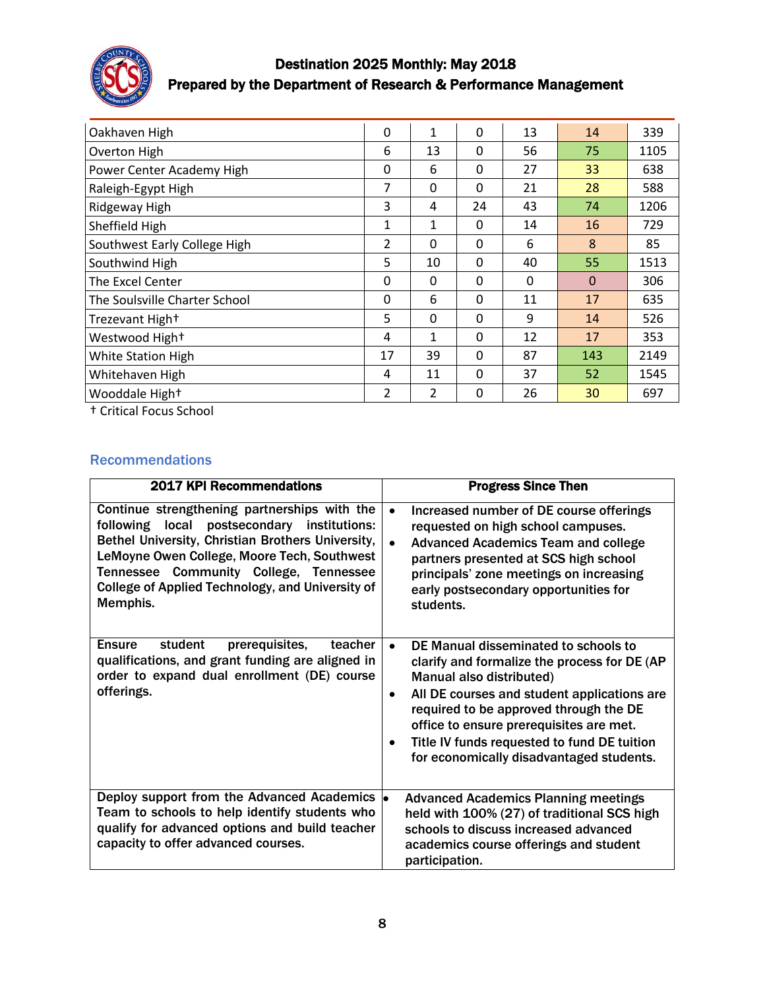

# Destination 2025 Monthly: May 2018 Prepared by the Department of Research & Performance Management

| Oakhaven High                 | $\Omega$       | 1            | $\mathbf 0$ | 13       | 14       | 339  |
|-------------------------------|----------------|--------------|-------------|----------|----------|------|
| Overton High                  | 6              | 13           | 0           | 56       | 75       | 1105 |
| Power Center Academy High     | 0              | 6            | 0           | 27       | 33       | 638  |
| Raleigh-Egypt High            | $\overline{7}$ | $\mathbf{0}$ | 0           | 21       | 28       | 588  |
| Ridgeway High                 | 3              | 4            | 24          | 43       | 74       | 1206 |
| Sheffield High                | 1              | 1            | $\Omega$    | 14       | 16       | 729  |
| Southwest Early College High  | $\mathcal{P}$  | $\Omega$     | 0           | 6        | 8        | 85   |
| Southwind High                | 5              | 10           | 0           | 40       | 55       | 1513 |
| The Excel Center              | 0              | $\Omega$     | 0           | $\Omega$ | $\Omega$ | 306  |
| The Soulsville Charter School | $\mathbf{0}$   | 6            | 0           | 11       | 17       | 635  |
| Trezevant High+               | 5              | $\mathbf{0}$ | 0           | 9        | 14       | 526  |
| Westwood High+                | 4              | 1            | $\mathbf 0$ | 12       | 17       | 353  |
| White Station High            | 17             | 39           | $\Omega$    | 87       | 143      | 2149 |
| Whitehaven High               | 4              | 11           | 0           | 37       | 52       | 1545 |
| Wooddale Hight                | 2              | 2            | 0           | 26       | 30       | 697  |

† Critical Focus School

#### Recommendations

| <b>2017 KPI Recommendations</b>                                                                                                                                                                                                                                                                           | <b>Progress Since Then</b>                                                                                                                                                                                                                                                                                                                                                |
|-----------------------------------------------------------------------------------------------------------------------------------------------------------------------------------------------------------------------------------------------------------------------------------------------------------|---------------------------------------------------------------------------------------------------------------------------------------------------------------------------------------------------------------------------------------------------------------------------------------------------------------------------------------------------------------------------|
| Continue strengthening partnerships with the<br>following local postsecondary institutions:<br>Bethel University, Christian Brothers University,<br>LeMoyne Owen College, Moore Tech, Southwest<br>Tennessee Community College, Tennessee<br>College of Applied Technology, and University of<br>Memphis. | Increased number of DE course offerings<br>$\bullet$<br>requested on high school campuses.<br><b>Advanced Academics Team and college</b><br>partners presented at SCS high school<br>principals' zone meetings on increasing<br>early postsecondary opportunities for<br>students.                                                                                        |
| student<br>prerequisites,<br><b>Ensure</b><br>teacher<br>qualifications, and grant funding are aligned in<br>order to expand dual enrollment (DE) course<br>offerings.                                                                                                                                    | DE Manual disseminated to schools to<br>$\bullet$<br>clarify and formalize the process for DE (AP<br>Manual also distributed)<br>All DE courses and student applications are<br>$\bullet$<br>required to be approved through the DE<br>office to ensure prerequisites are met.<br>Title IV funds requested to fund DE tuition<br>for economically disadvantaged students. |
| Deploy support from the Advanced Academics  .<br>Team to schools to help identify students who<br>qualify for advanced options and build teacher<br>capacity to offer advanced courses.                                                                                                                   | <b>Advanced Academics Planning meetings</b><br>held with 100% (27) of traditional SCS high<br>schools to discuss increased advanced<br>academics course offerings and student<br>participation.                                                                                                                                                                           |